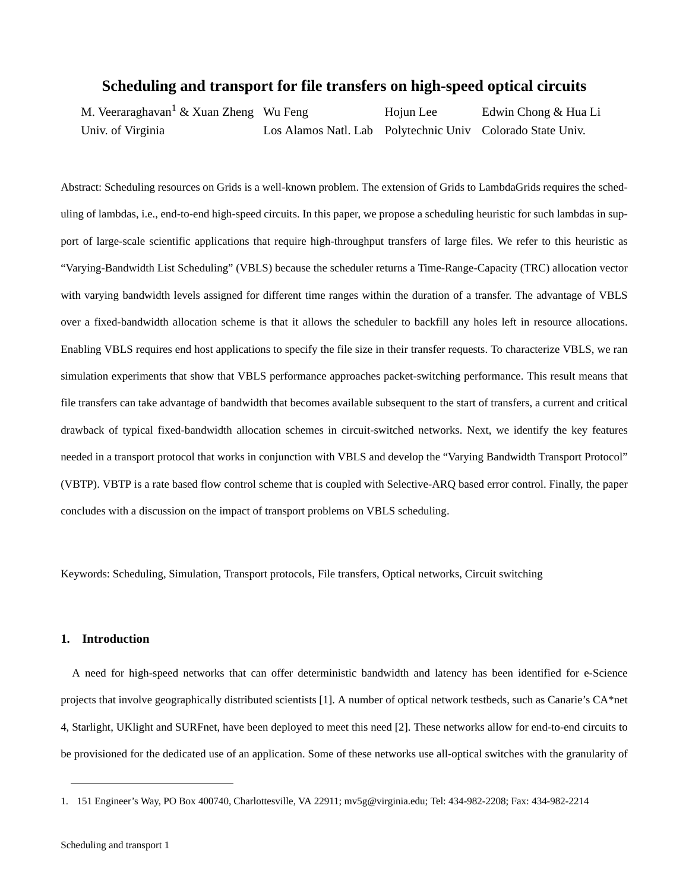# **Scheduling and transport for file transfers on high-speed optical circuits**

M. Veeraraghavan<sup>1</sup> & Xuan Zheng Wu Feng Hojun Lee Edwin Chong & Hua Li Univ. of Virginia Los Alamos Natl. Lab Polytechnic Univ Colorado State Univ.

Abstract: Scheduling resources on Grids is a well-known problem. The extension of Grids to LambdaGrids requires the scheduling of lambdas, i.e., end-to-end high-speed circuits. In this paper, we propose a scheduling heuristic for such lambdas in support of large-scale scientific applications that require high-throughput transfers of large files. We refer to this heuristic as "Varying-Bandwidth List Scheduling" (VBLS) because the scheduler returns a Time-Range-Capacity (TRC) allocation vector with varying bandwidth levels assigned for different time ranges within the duration of a transfer. The advantage of VBLS over a fixed-bandwidth allocation scheme is that it allows the scheduler to backfill any holes left in resource allocations. Enabling VBLS requires end host applications to specify the file size in their transfer requests. To characterize VBLS, we ran simulation experiments that show that VBLS performance approaches packet-switching performance. This result means that file transfers can take advantage of bandwidth that becomes available subsequent to the start of transfers, a current and critical drawback of typical fixed-bandwidth allocation schemes in circuit-switched networks. Next, we identify the key features needed in a transport protocol that works in conjunction with VBLS and develop the "Varying Bandwidth Transport Protocol" (VBTP). VBTP is a rate based flow control scheme that is coupled with Selective-ARQ based error control. Finally, the paper concludes with a discussion on the impact of transport problems on VBLS scheduling.

Keywords: Scheduling, Simulation, Transport protocols, File transfers, Optical networks, Circuit switching

# **1. Introduction**

A need for high-speed networks that can offer deterministic bandwidth and latency has been identified for e-Science projects that involve geographically distributed scientists [1]. A number of optical network testbeds, such as Canarie's CA\*net 4, Starlight, UKlight and SURFnet, have been deployed to meet this need [2]. These networks allow for end-to-end circuits to be provisioned for the dedicated use of an application. Some of these networks use all-optical switches with the granularity of

<sup>1. 151</sup> Engineer's Way, PO Box 400740, Charlottesville, VA 22911; mv5g@virginia.edu; Tel: 434-982-2208; Fax: 434-982-2214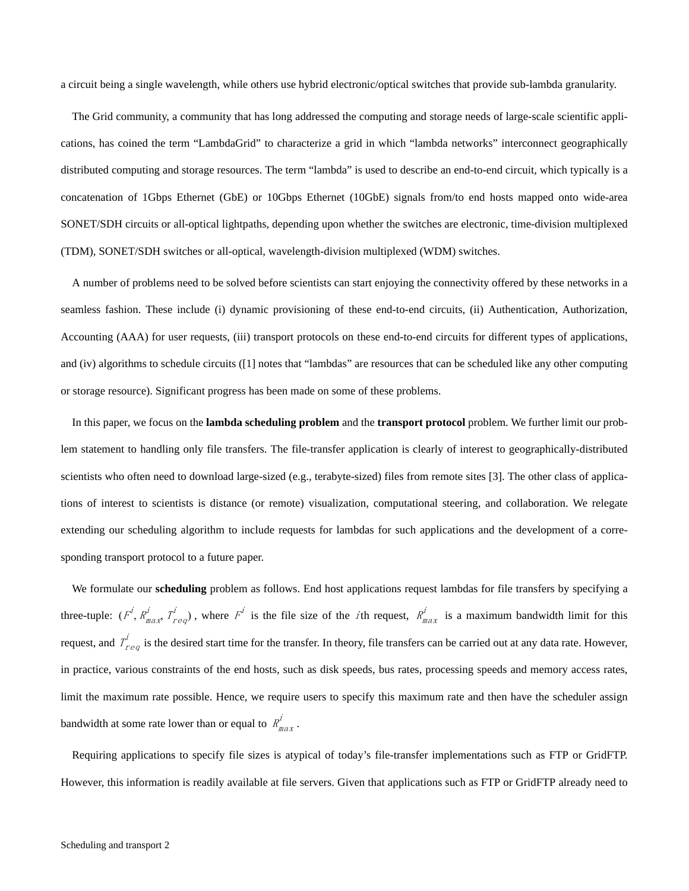a circuit being a single wavelength, while others use hybrid electronic/optical switches that provide sub-lambda granularity.

The Grid community, a community that has long addressed the computing and storage needs of large-scale scientific applications, has coined the term "LambdaGrid" to characterize a grid in which "lambda networks" interconnect geographically distributed computing and storage resources. The term "lambda" is used to describe an end-to-end circuit, which typically is a concatenation of 1Gbps Ethernet (GbE) or 10Gbps Ethernet (10GbE) signals from/to end hosts mapped onto wide-area SONET/SDH circuits or all-optical lightpaths, depending upon whether the switches are electronic, time-division multiplexed (TDM), SONET/SDH switches or all-optical, wavelength-division multiplexed (WDM) switches.

A number of problems need to be solved before scientists can start enjoying the connectivity offered by these networks in a seamless fashion. These include (i) dynamic provisioning of these end-to-end circuits, (ii) Authentication, Authorization, Accounting (AAA) for user requests, (iii) transport protocols on these end-to-end circuits for different types of applications, and (iv) algorithms to schedule circuits ([1] notes that "lambdas" are resources that can be scheduled like any other computing or storage resource). Significant progress has been made on some of these problems.

In this paper, we focus on the **lambda scheduling problem** and the **transport protocol** problem. We further limit our problem statement to handling only file transfers. The file-transfer application is clearly of interest to geographically-distributed scientists who often need to download large-sized (e.g., terabyte-sized) files from remote sites [3]. The other class of applications of interest to scientists is distance (or remote) visualization, computational steering, and collaboration. We relegate extending our scheduling algorithm to include requests for lambdas for such applications and the development of a corresponding transport protocol to a future paper.

We formulate our **scheduling** problem as follows. End host applications request lambdas for file transfers by specifying a three-tuple:  $(F^i, R_{max}^i, T_{reg}^i)$ , where  $F^i$  is the file size of the *i*th request,  $R_{max}^i$  is a maximum bandwidth limit for this request, and  $T_{req}$  is the desired start time for the transfer. In theory, file transfers can be carried out at any data rate. However, in practice, various constraints of the end hosts, such as disk speeds, bus rates, processing speeds and memory access rates, limit the maximum rate possible. Hence, we require users to specify this maximum rate and then have the scheduler assign bandwidth at some rate lower than or equal to  $R_{max}^{\prime}$ . i<br>max<sup>, T</sup>req  $(F^i, R_{max}^i, T_{req}^i)$ , where  $F^i$  is the file size of the *i*th request,  $R_{max}^i$ i i i

Requiring applications to specify file sizes is atypical of today's file-transfer implementations such as FTP or GridFTP. However, this information is readily available at file servers. Given that applications such as FTP or GridFTP already need to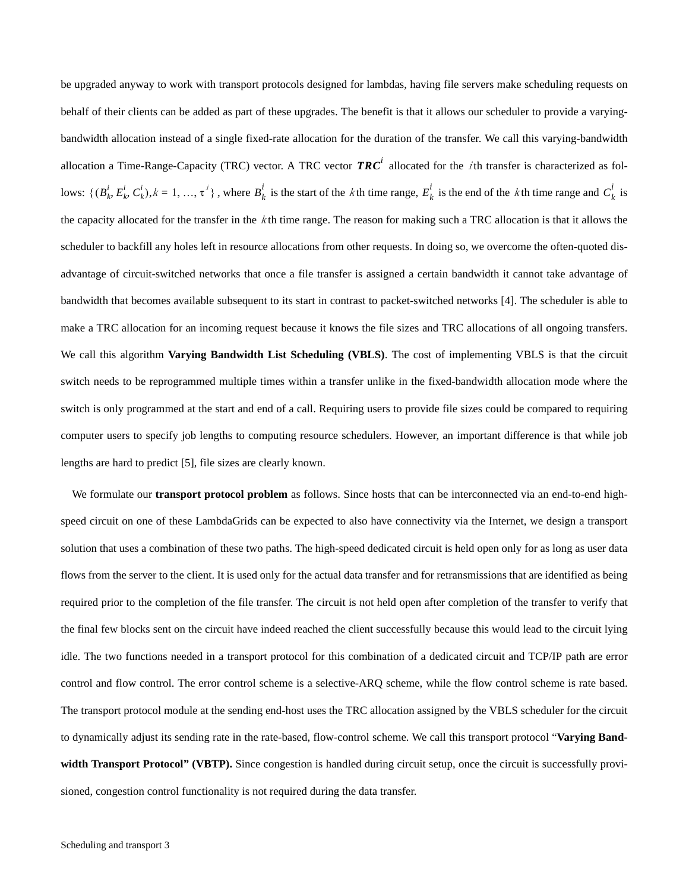be upgraded anyway to work with transport protocols designed for lambdas, having file servers make scheduling requests on behalf of their clients can be added as part of these upgrades. The benefit is that it allows our scheduler to provide a varyingbandwidth allocation instead of a single fixed-rate allocation for the duration of the transfer. We call this varying-bandwidth allocation a Time-Range-Capacity (TRC) vector. A TRC vector  $TRC^i$  allocated for the *i*th transfer is characterized as follows:  $\{(B_k^i, E_k^i, C_k^i), k = 1, ..., \tau^i\}$ , where  $B_k^i$  is the start of the *k*th time range,  $E_k^i$  is the end of the *k*th time range and  $C_k^i$  is the capacity allocated for the transfer in the  $k$ th time range. The reason for making such a TRC allocation is that it allows the scheduler to backfill any holes left in resource allocations from other requests. In doing so, we overcome the often-quoted disadvantage of circuit-switched networks that once a file transfer is assigned a certain bandwidth it cannot take advantage of bandwidth that becomes available subsequent to its start in contrast to packet-switched networks [4]. The scheduler is able to make a TRC allocation for an incoming request because it knows the file sizes and TRC allocations of all ongoing transfers. We call this algorithm **Varying Bandwidth List Scheduling (VBLS)**. The cost of implementing VBLS is that the circuit switch needs to be reprogrammed multiple times within a transfer unlike in the fixed-bandwidth allocation mode where the switch is only programmed at the start and end of a call. Requiring users to provide file sizes could be compared to requiring computer users to specify job lengths to computing resource schedulers. However, an important difference is that while job lengths are hard to predict [5], file sizes are clearly known.

We formulate our **transport protocol problem** as follows. Since hosts that can be interconnected via an end-to-end highspeed circuit on one of these LambdaGrids can be expected to also have connectivity via the Internet, we design a transport solution that uses a combination of these two paths. The high-speed dedicated circuit is held open only for as long as user data flows from the server to the client. It is used only for the actual data transfer and for retransmissions that are identified as being required prior to the completion of the file transfer. The circuit is not held open after completion of the transfer to verify that the final few blocks sent on the circuit have indeed reached the client successfully because this would lead to the circuit lying idle. The two functions needed in a transport protocol for this combination of a dedicated circuit and TCP/IP path are error control and flow control. The error control scheme is a selective-ARQ scheme, while the flow control scheme is rate based. The transport protocol module at the sending end-host uses the TRC allocation assigned by the VBLS scheduler for the circuit to dynamically adjust its sending rate in the rate-based, flow-control scheme. We call this transport protocol "**Varying Band**width Transport Protocol" (VBTP). Since congestion is handled during circuit setup, once the circuit is successfully provisioned, congestion control functionality is not required during the data transfer.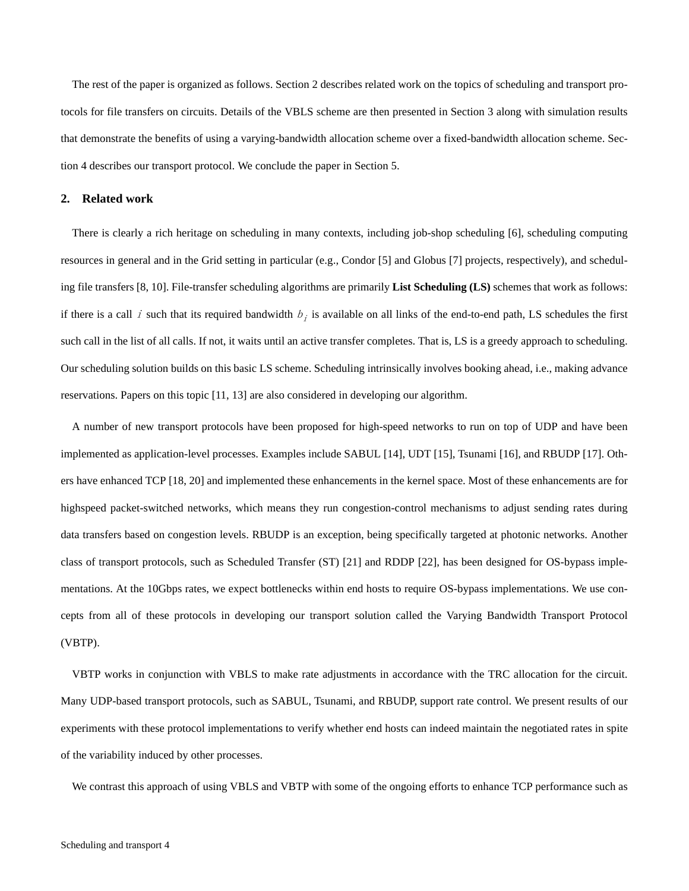The rest of the paper is organized as follows. Section 2 describes related work on the topics of scheduling and transport protocols for file transfers on circuits. Details of the VBLS scheme are then presented in Section 3 along with simulation results that demonstrate the benefits of using a varying-bandwidth allocation scheme over a fixed-bandwidth allocation scheme. Section 4 describes our transport protocol. We conclude the paper in Section 5.

### **2. Related work**

There is clearly a rich heritage on scheduling in many contexts, including job-shop scheduling [6], scheduling computing resources in general and in the Grid setting in particular (e.g., Condor [5] and Globus [7] projects, respectively), and scheduling file transfers [8, 10]. File-transfer scheduling algorithms are primarily **List Scheduling (LS)** schemes that work as follows: if there is a call i such that its required bandwidth  $b_i$  is available on all links of the end-to-end path, LS schedules the first such call in the list of all calls. If not, it waits until an active transfer completes. That is, LS is a greedy approach to scheduling. Our scheduling solution builds on this basic LS scheme. Scheduling intrinsically involves booking ahead, i.e., making advance reservations. Papers on this topic [11, 13] are also considered in developing our algorithm.

A number of new transport protocols have been proposed for high-speed networks to run on top of UDP and have been implemented as application-level processes. Examples include SABUL [14], UDT [15], Tsunami [16], and RBUDP [17]. Others have enhanced TCP [18, 20] and implemented these enhancements in the kernel space. Most of these enhancements are for highspeed packet-switched networks, which means they run congestion-control mechanisms to adjust sending rates during data transfers based on congestion levels. RBUDP is an exception, being specifically targeted at photonic networks. Another class of transport protocols, such as Scheduled Transfer (ST) [21] and RDDP [22], has been designed for OS-bypass implementations. At the 10Gbps rates, we expect bottlenecks within end hosts to require OS-bypass implementations. We use concepts from all of these protocols in developing our transport solution called the Varying Bandwidth Transport Protocol (VBTP).

VBTP works in conjunction with VBLS to make rate adjustments in accordance with the TRC allocation for the circuit. Many UDP-based transport protocols, such as SABUL, Tsunami, and RBUDP, support rate control. We present results of our experiments with these protocol implementations to verify whether end hosts can indeed maintain the negotiated rates in spite of the variability induced by other processes.

We contrast this approach of using VBLS and VBTP with some of the ongoing efforts to enhance TCP performance such as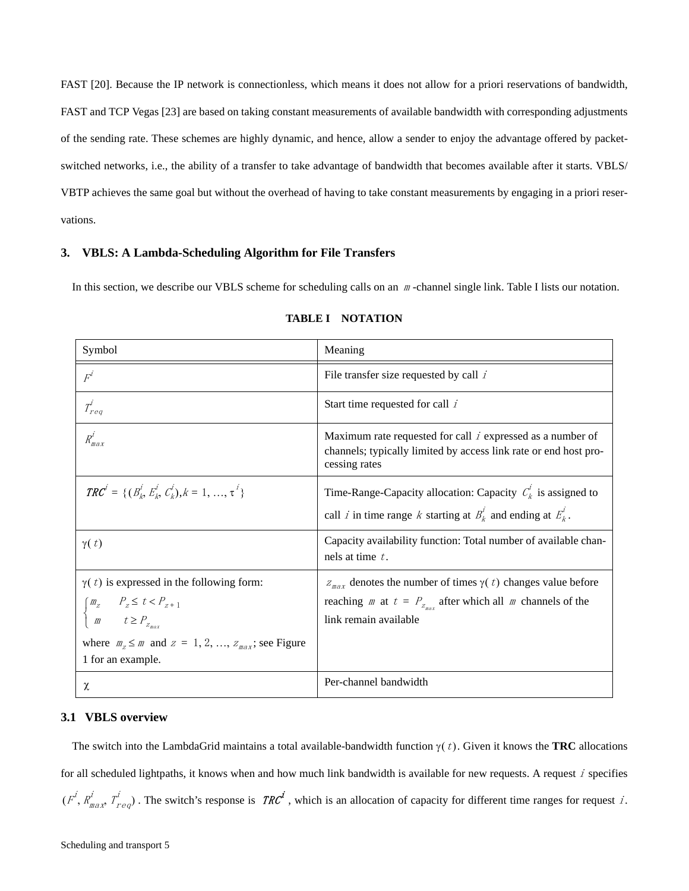FAST [20]. Because the IP network is connectionless, which means it does not allow for a priori reservations of bandwidth, FAST and TCP Vegas [23] are based on taking constant measurements of available bandwidth with corresponding adjustments of the sending rate. These schemes are highly dynamic, and hence, allow a sender to enjoy the advantage offered by packetswitched networks, i.e., the ability of a transfer to take advantage of bandwidth that becomes available after it starts. VBLS/ VBTP achieves the same goal but without the overhead of having to take constant measurements by engaging in a priori reservations.

## **3. VBLS: A Lambda-Scheduling Algorithm for File Transfers**

In this section, we describe our VBLS scheme for scheduling calls on an  $m$ -channel single link. Table I lists our notation.

| Symbol                                                                               | Meaning                                                                                                                                                 |
|--------------------------------------------------------------------------------------|---------------------------------------------------------------------------------------------------------------------------------------------------------|
| $F^i$                                                                                | File transfer size requested by call i                                                                                                                  |
| $T_{req}^{i}$                                                                        | Start time requested for call i                                                                                                                         |
| $R_{max}^i$                                                                          | Maximum rate requested for call $\vec{i}$ expressed as a number of<br>channels; typically limited by access link rate or end host pro-<br>cessing rates |
| $TRC^i = \{ (B_k^i, E_k^i, C_k^i), k = 1, , \tau^i \}$                               | Time-Range-Capacity allocation: Capacity $C_k^l$ is assigned to<br>call i in time range k starting at $B_k^l$ and ending at $E_k^l$ .                   |
| $\gamma(t)$                                                                          | Capacity availability function: Total number of available chan-<br>nels at time $t$ .                                                                   |
| $\gamma(t)$ is expressed in the following form:                                      | $z_{max}$ denotes the number of times $\gamma(t)$ changes value before                                                                                  |
|                                                                                      | reaching m at $t = P_{z_{max}}$ after which all m channels of the                                                                                       |
| $\begin{cases} m_{z} & P_{z} \leq t < P_{z+1} \\ m & t \geq P_{z_{max}} \end{cases}$ | link remain available                                                                                                                                   |
| where $m_z \le m$ and $z = 1, 2, , z_{max}$ ; see Figure                             |                                                                                                                                                         |
| 1 for an example.                                                                    |                                                                                                                                                         |
| χ                                                                                    | Per-channel bandwidth                                                                                                                                   |

### **TABLE I NOTATION**

# **3.1 VBLS overview**

The switch into the LambdaGrid maintains a total available-bandwidth function  $\gamma(t)$ . Given it knows the **TRC** allocations for all scheduled lightpaths, it knows when and how much link bandwidth is available for new requests. A request  $i$  specifies  $F^i$ ,  $R_{max}^i$ ,  $T^i_{real}$ ). The switch's response is  $TRC^i$ , which is an allocation of capacity for different time ranges for request i.  $\frac{d}{dx}$   $T_{req}^{i}$  $(F^i, R^i_{max}, T^i_{real})$ . The switch's response is  $TRC^i$ , which is an allocation of capacity for different time ranges for request i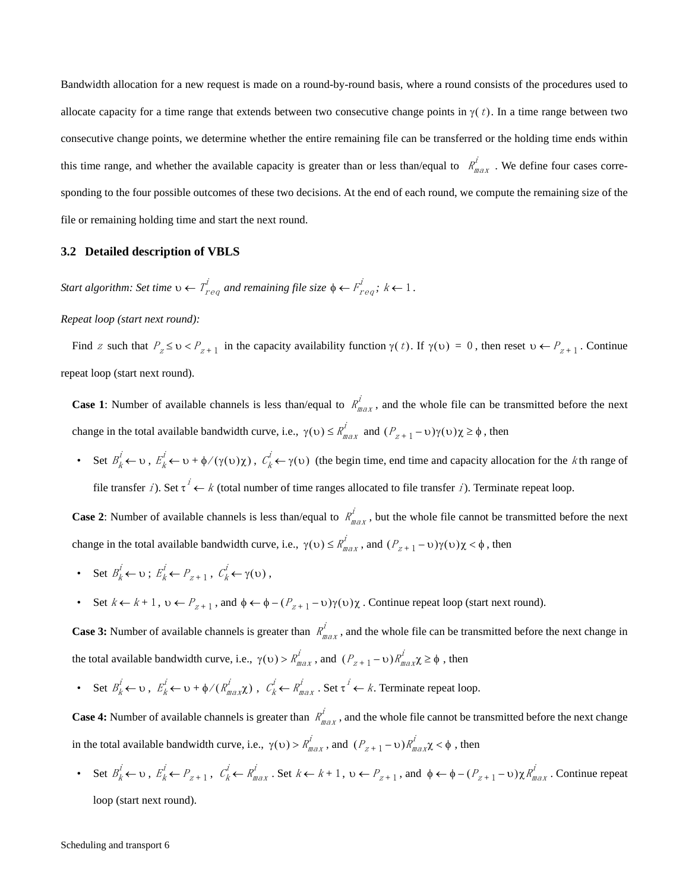Bandwidth allocation for a new request is made on a round-by-round basis, where a round consists of the procedures used to allocate capacity for a time range that extends between two consecutive change points in  $\gamma(t)$ . In a time range between two consecutive change points, we determine whether the entire remaining file can be transferred or the holding time ends within this time range, and whether the available capacity is greater than or less than/equal to  $R_{max}^t$ . We define four cases corresponding to the four possible outcomes of these two decisions. At the end of each round, we compute the remaining size of the file or remaining holding time and start the next round. i

### **3.2 Detailed description of VBLS**

*Start algorithm: Set time*  $v \leftarrow T_{reg}^i$  and remaining file size  $\phi \leftarrow F_{reg}^i$ ;  $k \leftarrow 1$ .

### *Repeat loop (start next round):*

Find z such that  $P_z \le v < P_{z+1}$  in the capacity availability function  $\gamma(t)$ . If  $\gamma(v) = 0$ , then reset  $v \leftarrow P_{z+1}$ . Continue repeat loop (start next round).

**Case 1**: Number of available channels is less than/equal to  $R_{max}^t$ , and the whole file can be transmitted before the next change in the total available bandwidth curve, i.e.,  $\gamma(v) \le R_{max}^t$  and  $(P_{z+1} - v)\gamma(v)\chi \ge \phi$ , then i  $\leq R_{\text{max}}^i$  and  $(P_{z+1} - \nu)\gamma(\nu)\chi \geq \phi$ 

• Set  $B'_k \leftarrow v$ ,  $E'_k \leftarrow v + \phi/(\gamma(v)\chi)$ ,  $C'_k \leftarrow \gamma(v)$  (the begin time, end time and capacity allocation for the kth range of file transfer i). Set  $\tau^{i} \leftarrow k$  (total number of time ranges allocated to file transfer i). Terminate repeat loop.  $k \leftarrow v$ ,  $E_k^i$  $\mu_k^i$  ← v + φ/(γ(v)χ),  $c_k^i$  $\psi_k^i$  ← γ(v) (the begin time, end time and capacity allocation for the k

**Case 2:** Number of available channels is less than/equal to  $R_{max}^t$ , but the whole file cannot be transmitted before the next change in the total available bandwidth curve, i.e.,  $\gamma(v) \le R_{max}^t$ , and  $(P_{z+1} - v)\gamma(v)\chi < \phi$ , then i  $\leq R_{max}^i$ , and  $(P_{z+1} - \nu)\gamma(\nu)\chi < \phi$ 

- Set  $B'_k \leftarrow v$ ;  $E'_k \leftarrow P_{z+1}$ ,  $C'_k \leftarrow \gamma(v)$ ,  $k \leftarrow v$ ;  $E_k^i \leftarrow P_{z+1}$ ,  $C_k^i \leftarrow \gamma(v)$
- Set  $k \leftarrow k+1$ ,  $v \leftarrow P_{z+1}$ , and  $\phi \leftarrow \phi (P_{z+1} v)\gamma(v)\chi$ . Continue repeat loop (start next round).

**Case 3:** Number of available channels is greater than  $R_{max}^t$ , and the whole file can be transmitted before the next change in the total available bandwidth curve, i.e.,  $\gamma(v) > R'_{max}$ , and  $(P_{z+1} - v)R'_{max} \chi \ge \phi$ , then i  $> R_{max}^i$ , and  $(P_{z+1} - \nu)R_{max}^i \chi \ge \phi$ 

• Set  $B'_k \leftarrow v$ ,  $E'_k \leftarrow v + \phi/(R'_{max} \chi)$ ,  $C'_k \leftarrow R'_{max}$ . Set  $\tau^2 \leftarrow k$ . Terminate repeat loop.  $k \leftarrow v$ ,  $E_k^i$  $u_k^i \leftarrow v + \phi/(R_{max}^i)$  $\leftarrow$   $\upsilon$  +  $\phi$  / ( $R_{max}^i \chi$ ),  $c_k^i$  $\chi^i \leftarrow R^i_{max}$  $\leftarrow R_{max}^i$ . Set  $\tau^i \leftarrow k$ .

**Case 4:** Number of available channels is greater than  $R_{max}^t$ , and the whole file cannot be transmitted before the next change in the total available bandwidth curve, i.e.,  $\gamma(v) > R_{max}^i$ , and  $(P_{z+1} - v)R_{max}^i \chi < \phi$ , then i

• Set  $B'_k \leftarrow v$ ,  $E'_k \leftarrow P_{z+1}$ ,  $C'_k \leftarrow R'_{max}$ . Set  $k \leftarrow k+1$ ,  $v \leftarrow P_{z+1}$ , and  $\phi \leftarrow \phi - (P_{z+1} - v)\chi R'_{max}$ . Continue repeat  $k \leftarrow v$ ,  $E_k^i$  $x_k^i \leftarrow P_{z+1}$ ,  $C_k^i \leftarrow R_{max}^i$  $\leftarrow R_{max}^i$ . Set  $k \leftarrow k+1$ ,  $\upsilon \leftarrow P_{z+1}$ , and  $\phi \leftarrow \phi - (P_{z+1} - \upsilon) \chi R_{max}^i$ 

loop (start next round).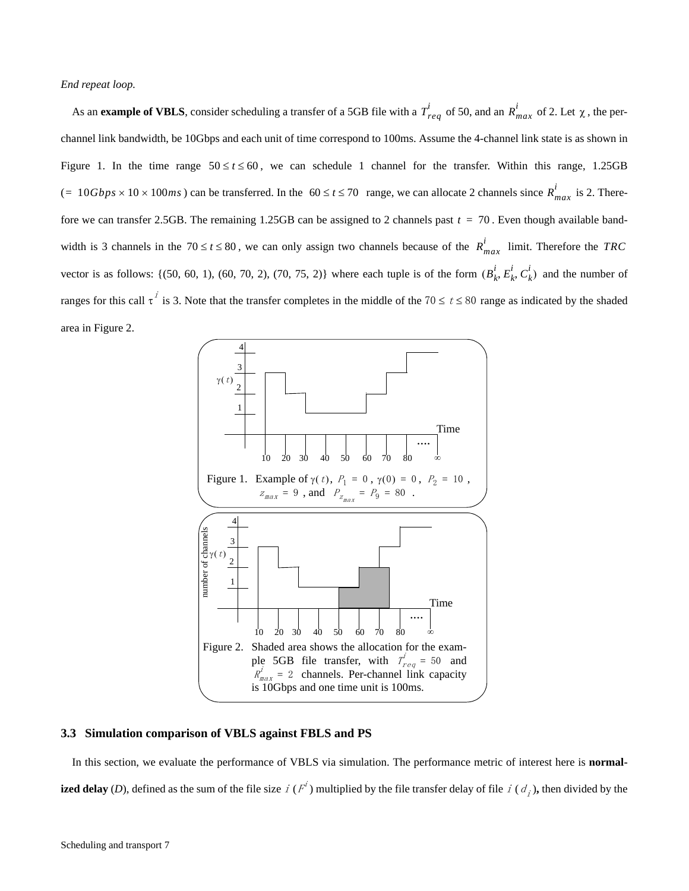### *End repeat loop.*

As an **example of VBLS**, consider scheduling a transfer of a 5GB file with a  $T_{req}^i$  of 50, and an  $R_{max}^i$  of 2. Let  $\chi$ , the perchannel link bandwidth, be 10Gbps and each unit of time correspond to 100ms. Assume the 4-channel link state is as shown in Figure 1. In the time range  $50 \le t \le 60$ , we can schedule 1 channel for the transfer. Within this range, 1.25GB  $(1 - 10Gbps \times 10 \times 100ms)$  can be transferred. In the  $60 \le t \le 70$  range, we can allocate 2 channels since  $R_{max}^i$  is 2. Therefore we can transfer 2.5GB. The remaining 1.25GB can be assigned to 2 channels past  $t = 70$ . Even though available bandwidth is 3 channels in the  $70 \le t \le 80$ , we can only assign two channels because of the  $R_{max}^i$  limit. Therefore the TRC vector is as follows: {(50, 60, 1), (60, 70, 2), (70, 75, 2)} where each tuple is of the form  $(B_k^i, E_k^i, C_k^i)$  and the number of ranges for this call  $\tau^i$  is 3. Note that the transfer completes in the middle of the 70  $\le t \le 80$  range as indicated by the shaded area in Figure 2.



### **3.3 Simulation comparison of VBLS against FBLS and PS**

In this section, we evaluate the performance of VBLS via simulation. The performance metric of interest here is **normal**ized delay (D), defined as the sum of the file size i  $(F^i)$  multiplied by the file transfer delay of file i  $(d_i)$ , then divided by the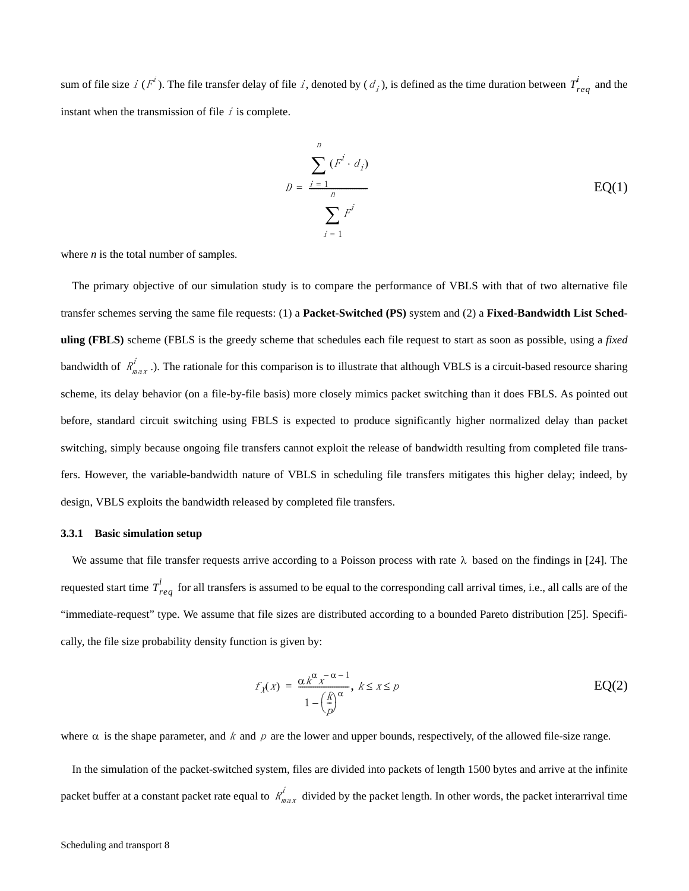sum of file size i  $(F^i)$ . The file transfer delay of file i, denoted by  $(d_i)$ , is defined as the time duration between  $T^i_{req}$  and the instant when the transmission of file  $i$  is complete.

$$
D = \frac{\sum_{i=1}^{n} (F^i \cdot d_i)}{\sum_{i=1}^{n} F^i}
$$
EQ(1)

where *n* is the total number of samples.

The primary objective of our simulation study is to compare the performance of VBLS with that of two alternative file transfer schemes serving the same file requests: (1) a **Packet-Switched (PS)** system and (2) a **Fixed-Bandwidth List Scheduling (FBLS)** scheme (FBLS is the greedy scheme that schedules each file request to start as soon as possible, using a *fixed* bandwidth of  $R_{max}^{\prime}$ .). The rationale for this comparison is to illustrate that although VBLS is a circuit-based resource sharing scheme, its delay behavior (on a file-by-file basis) more closely mimics packet switching than it does FBLS. As pointed out before, standard circuit switching using FBLS is expected to produce significantly higher normalized delay than packet switching, simply because ongoing file transfers cannot exploit the release of bandwidth resulting from completed file transfers. However, the variable-bandwidth nature of VBLS in scheduling file transfers mitigates this higher delay; indeed, by design, VBLS exploits the bandwidth released by completed file transfers. i

#### **3.3.1 Basic simulation setup**

We assume that file transfer requests arrive according to a Poisson process with rate  $\lambda$  based on the findings in [24]. The requested start time  $T_{req}^i$  for all transfers is assumed to be equal to the corresponding call arrival times, i.e., all calls are of the "immediate-request" type. We assume that file sizes are distributed according to a bounded Pareto distribution [25]. Specifically, the file size probability density function is given by:

$$
f_{\chi}(x) = \frac{\alpha k^{\alpha} x^{-\alpha - 1}}{1 - \left(\frac{k}{p}\right)^{\alpha}}, \ k \le x \le p
$$
   
EQ(2)

where  $\alpha$  is the shape parameter, and k and p are the lower and upper bounds, respectively, of the allowed file-size range.

In the simulation of the packet-switched system, files are divided into packets of length 1500 bytes and arrive at the infinite packet buffer at a constant packet rate equal to  $R_{max}^t$  divided by the packet length. In other words, the packet interarrival time i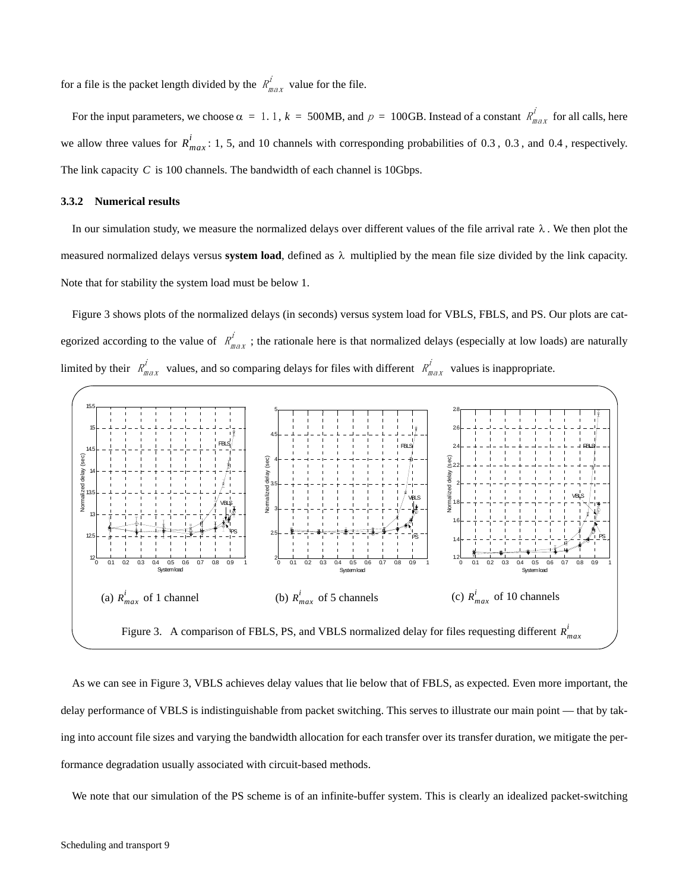for a file is the packet length divided by the  $R_{max}^{t}$  value for the file. i

For the input parameters, we choose  $\alpha = 1, 1, k = 500MB$ , and  $p = 100GB$ . Instead of a constant  $R_{max}^t$  for all calls, here we allow three values for  $R_{max}^i$ : 1, 5, and 10 channels with corresponding probabilities of 0.3, 0.3, and 0.4, respectively. The link capacity  $C$  is 100 channels. The bandwidth of each channel is 10Gbps. i

### **3.3.2 Numerical results**

In our simulation study, we measure the normalized delays over different values of the file arrival rate  $\lambda$ . We then plot the measured normalized delays versus **system load**, defined as λ multiplied by the mean file size divided by the link capacity. Note that for stability the system load must be below 1.

Figure 3 shows plots of the normalized delays (in seconds) versus system load for VBLS, FBLS, and PS. Our plots are categorized according to the value of  $R_{max}$ ; the rationale here is that normalized delays (especially at low loads) are naturally limited by their  $R_{max}^t$  values, and so comparing delays for files with different  $R_{max}^t$  values is inappropriate. i  $\mu_{max}^{i}$  values, and so comparing delays for files with different  $R_{max}^{i}$ i



As we can see in Figure 3, VBLS achieves delay values that lie below that of FBLS, as expected. Even more important, the delay performance of VBLS is indistinguishable from packet switching. This serves to illustrate our main point — that by taking into account file sizes and varying the bandwidth allocation for each transfer over its transfer duration, we mitigate the performance degradation usually associated with circuit-based methods.

We note that our simulation of the PS scheme is of an infinite-buffer system. This is clearly an idealized packet-switching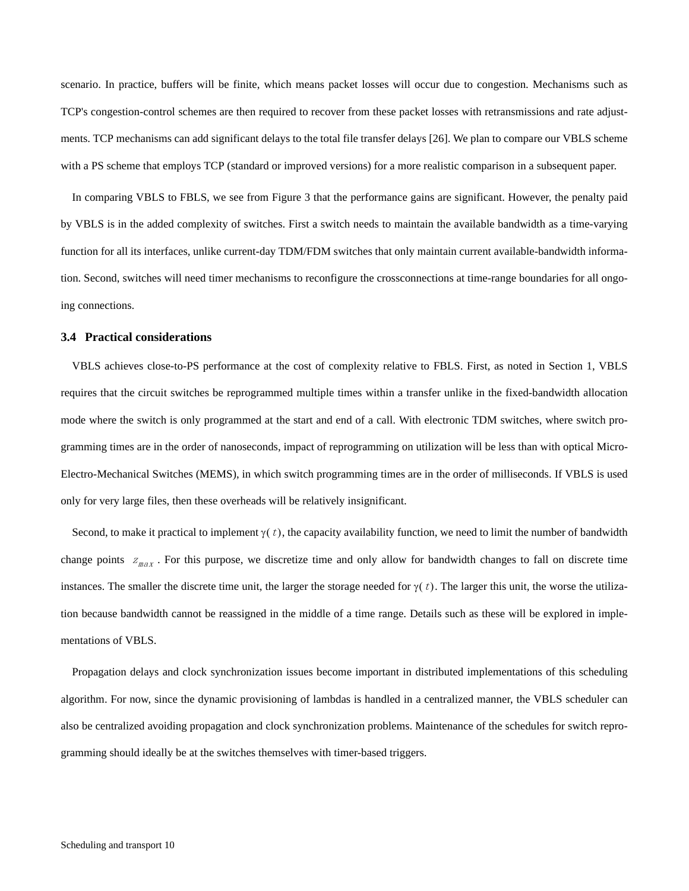scenario. In practice, buffers will be finite, which means packet losses will occur due to congestion. Mechanisms such as TCP's congestion-control schemes are then required to recover from these packet losses with retransmissions and rate adjustments. TCP mechanisms can add significant delays to the total file transfer delays [26]. We plan to compare our VBLS scheme with a PS scheme that employs TCP (standard or improved versions) for a more realistic comparison in a subsequent paper.

In comparing VBLS to FBLS, we see from Figure 3 that the performance gains are significant. However, the penalty paid by VBLS is in the added complexity of switches. First a switch needs to maintain the available bandwidth as a time-varying function for all its interfaces, unlike current-day TDM/FDM switches that only maintain current available-bandwidth information. Second, switches will need timer mechanisms to reconfigure the crossconnections at time-range boundaries for all ongoing connections.

### **3.4 Practical considerations**

VBLS achieves close-to-PS performance at the cost of complexity relative to FBLS. First, as noted in Section 1, VBLS requires that the circuit switches be reprogrammed multiple times within a transfer unlike in the fixed-bandwidth allocation mode where the switch is only programmed at the start and end of a call. With electronic TDM switches, where switch programming times are in the order of nanoseconds, impact of reprogramming on utilization will be less than with optical Micro-Electro-Mechanical Switches (MEMS), in which switch programming times are in the order of milliseconds. If VBLS is used only for very large files, then these overheads will be relatively insignificant.

Second, to make it practical to implement  $\gamma(t)$ , the capacity availability function, we need to limit the number of bandwidth change points  $z_{max}$ . For this purpose, we discretize time and only allow for bandwidth changes to fall on discrete time instances. The smaller the discrete time unit, the larger the storage needed for  $\gamma(t)$ . The larger this unit, the worse the utilization because bandwidth cannot be reassigned in the middle of a time range. Details such as these will be explored in implementations of VBLS.

Propagation delays and clock synchronization issues become important in distributed implementations of this scheduling algorithm. For now, since the dynamic provisioning of lambdas is handled in a centralized manner, the VBLS scheduler can also be centralized avoiding propagation and clock synchronization problems. Maintenance of the schedules for switch reprogramming should ideally be at the switches themselves with timer-based triggers.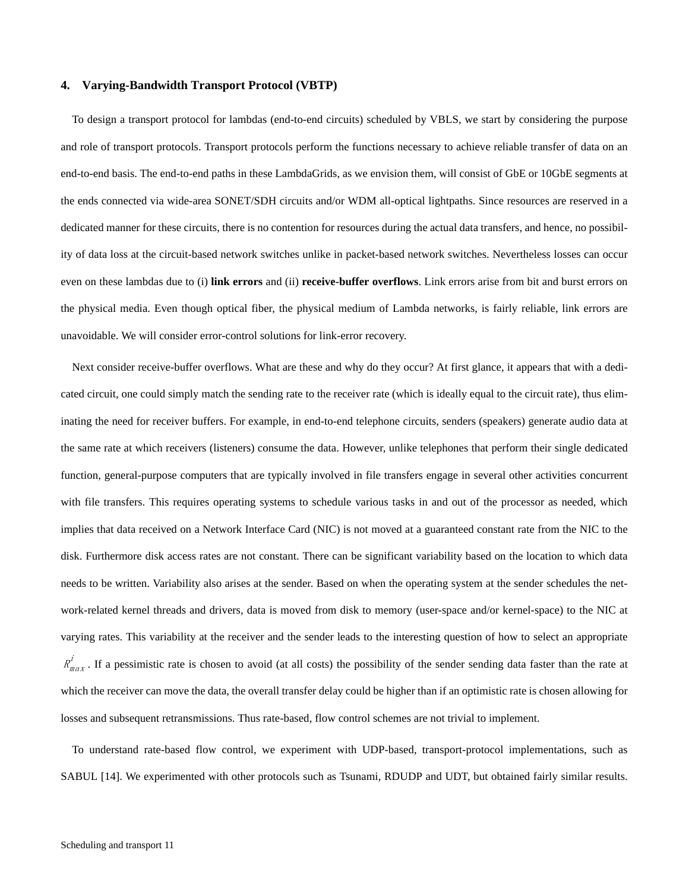### **4. Varying-Bandwidth Transport Protocol (VBTP)**

To design a transport protocol for lambdas (end-to-end circuits) scheduled by VBLS, we start by considering the purpose and role of transport protocols. Transport protocols perform the functions necessary to achieve reliable transfer of data on an end-to-end basis. The end-to-end paths in these LambdaGrids, as we envision them, will consist of GbE or 10GbE segments at the ends connected via wide-area SONET/SDH circuits and/or WDM all-optical lightpaths. Since resources are reserved in a dedicated manner for these circuits, there is no contention for resources during the actual data transfers, and hence, no possibility of data loss at the circuit-based network switches unlike in packet-based network switches. Nevertheless losses can occur even on these lambdas due to (i) **link errors** and (ii) **receive-buffer overflows**. Link errors arise from bit and burst errors on the physical media. Even though optical fiber, the physical medium of Lambda networks, is fairly reliable, link errors are unavoidable. We will consider error-control solutions for link-error recovery.

Next consider receive-buffer overflows. What are these and why do they occur? At first glance, it appears that with a dedicated circuit, one could simply match the sending rate to the receiver rate (which is ideally equal to the circuit rate), thus eliminating the need for receiver buffers. For example, in end-to-end telephone circuits, senders (speakers) generate audio data at the same rate at which receivers (listeners) consume the data. However, unlike telephones that perform their single dedicated function, general-purpose computers that are typically involved in file transfers engage in several other activities concurrent with file transfers. This requires operating systems to schedule various tasks in and out of the processor as needed, which implies that data received on a Network Interface Card (NIC) is not moved at a guaranteed constant rate from the NIC to the disk. Furthermore disk access rates are not constant. There can be significant variability based on the location to which data needs to be written. Variability also arises at the sender. Based on when the operating system at the sender schedules the network-related kernel threads and drivers, data is moved from disk to memory (user-space and/or kernel-space) to the NIC at varying rates. This variability at the receiver and the sender leads to the interesting question of how to select an appropriate  $R_{max}^t$ . If a pessimistic rate is chosen to avoid (at all costs) the possibility of the sender sending data faster than the rate at which the receiver can move the data, the overall transfer delay could be higher than if an optimistic rate is chosen allowing for losses and subsequent retransmissions. Thus rate-based, flow control schemes are not trivial to implement. i

To understand rate-based flow control, we experiment with UDP-based, transport-protocol implementations, such as SABUL [14]. We experimented with other protocols such as Tsunami, RDUDP and UDT, but obtained fairly similar results.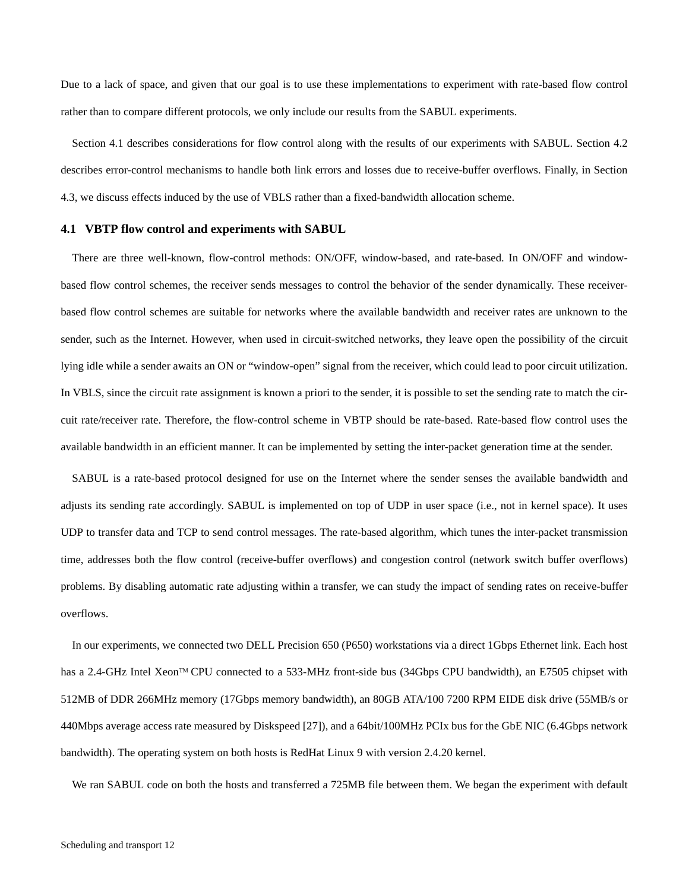Due to a lack of space, and given that our goal is to use these implementations to experiment with rate-based flow control rather than to compare different protocols, we only include our results from the SABUL experiments.

Section 4.1 describes considerations for flow control along with the results of our experiments with SABUL. Section 4.2 describes error-control mechanisms to handle both link errors and losses due to receive-buffer overflows. Finally, in Section 4.3, we discuss effects induced by the use of VBLS rather than a fixed-bandwidth allocation scheme.

# **4.1 VBTP flow control and experiments with SABUL**

There are three well-known, flow-control methods: ON/OFF, window-based, and rate-based. In ON/OFF and windowbased flow control schemes, the receiver sends messages to control the behavior of the sender dynamically. These receiverbased flow control schemes are suitable for networks where the available bandwidth and receiver rates are unknown to the sender, such as the Internet. However, when used in circuit-switched networks, they leave open the possibility of the circuit lying idle while a sender awaits an ON or "window-open" signal from the receiver, which could lead to poor circuit utilization. In VBLS, since the circuit rate assignment is known a priori to the sender, it is possible to set the sending rate to match the circuit rate/receiver rate. Therefore, the flow-control scheme in VBTP should be rate-based. Rate-based flow control uses the available bandwidth in an efficient manner. It can be implemented by setting the inter-packet generation time at the sender.

SABUL is a rate-based protocol designed for use on the Internet where the sender senses the available bandwidth and adjusts its sending rate accordingly. SABUL is implemented on top of UDP in user space (i.e., not in kernel space). It uses UDP to transfer data and TCP to send control messages. The rate-based algorithm, which tunes the inter-packet transmission time, addresses both the flow control (receive-buffer overflows) and congestion control (network switch buffer overflows) problems. By disabling automatic rate adjusting within a transfer, we can study the impact of sending rates on receive-buffer overflows.

In our experiments, we connected two DELL Precision 650 (P650) workstations via a direct 1Gbps Ethernet link. Each host has a 2.4-GHz Intel Xeon™ CPU connected to a 533-MHz front-side bus (34Gbps CPU bandwidth), an E7505 chipset with 512MB of DDR 266MHz memory (17Gbps memory bandwidth), an 80GB ATA/100 7200 RPM EIDE disk drive (55MB/s or 440Mbps average access rate measured by Diskspeed [27]), and a 64bit/100MHz PCIx bus for the GbE NIC (6.4Gbps network bandwidth). The operating system on both hosts is RedHat Linux 9 with version 2.4.20 kernel.

We ran SABUL code on both the hosts and transferred a 725MB file between them. We began the experiment with default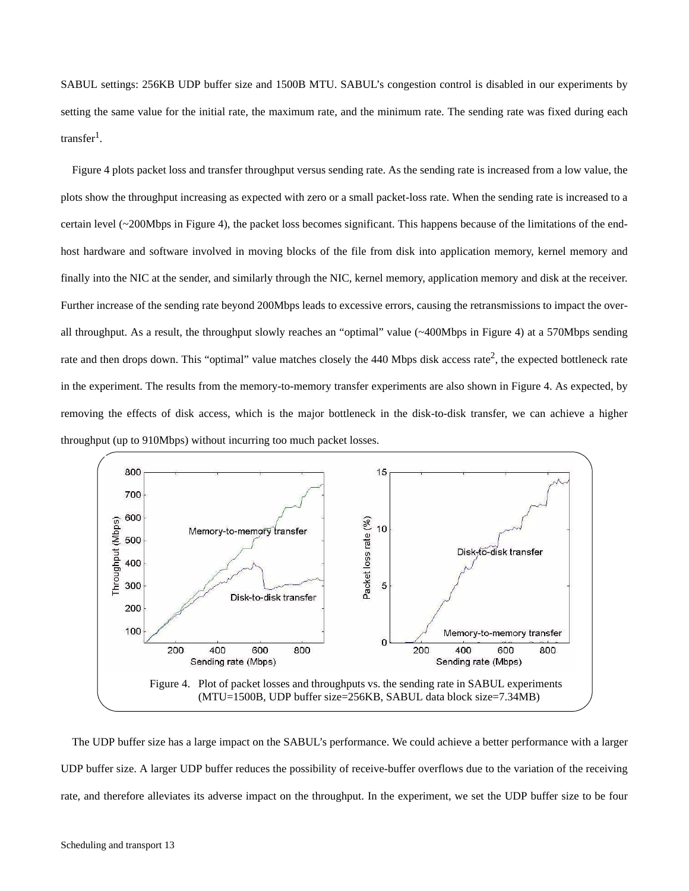SABUL settings: 256KB UDP buffer size and 1500B MTU. SABUL's congestion control is disabled in our experiments by setting the same value for the initial rate, the maximum rate, and the minimum rate. The sending rate was fixed during each transfer<sup>1</sup>.

Figure 4 plots packet loss and transfer throughput versus sending rate. As the sending rate is increased from a low value, the plots show the throughput increasing as expected with zero or a small packet-loss rate. When the sending rate is increased to a certain level (~200Mbps in Figure 4), the packet loss becomes significant. This happens because of the limitations of the endhost hardware and software involved in moving blocks of the file from disk into application memory, kernel memory and finally into the NIC at the sender, and similarly through the NIC, kernel memory, application memory and disk at the receiver. Further increase of the sending rate beyond 200Mbps leads to excessive errors, causing the retransmissions to impact the overall throughput. As a result, the throughput slowly reaches an "optimal" value (~400Mbps in Figure 4) at a 570Mbps sending rate and then drops down. This "optimal" value matches closely the 440 Mbps disk access rate<sup>2</sup>, the expected bottleneck rate in the experiment. The results from the memory-to-memory transfer experiments are also shown in Figure 4. As expected, by removing the effects of disk access, which is the major bottleneck in the disk-to-disk transfer, we can achieve a higher throughput (up to 910Mbps) without incurring too much packet losses.



The UDP buffer size has a large impact on the SABUL's performance. We could achieve a better performance with a larger UDP buffer size. A larger UDP buffer reduces the possibility of receive-buffer overflows due to the variation of the receiving rate, and therefore alleviates its adverse impact on the throughput. In the experiment, we set the UDP buffer size to be four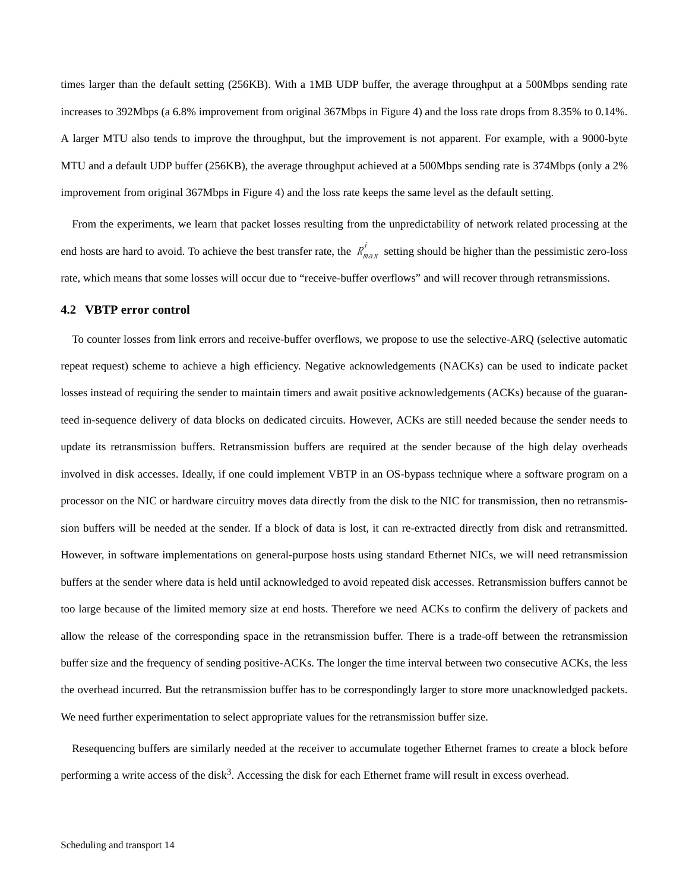times larger than the default setting (256KB). With a 1MB UDP buffer, the average throughput at a 500Mbps sending rate increases to 392Mbps (a 6.8% improvement from original 367Mbps in Figure 4) and the loss rate drops from 8.35% to 0.14%. A larger MTU also tends to improve the throughput, but the improvement is not apparent. For example, with a 9000-byte MTU and a default UDP buffer (256KB), the average throughput achieved at a 500Mbps sending rate is 374Mbps (only a 2% improvement from original 367Mbps in Figure 4) and the loss rate keeps the same level as the default setting.

From the experiments, we learn that packet losses resulting from the unpredictability of network related processing at the end hosts are hard to avoid. To achieve the best transfer rate, the  $R_{max}^t$  setting should be higher than the pessimistic zero-loss rate, which means that some losses will occur due to "receive-buffer overflows" and will recover through retransmissions. i

# **4.2 VBTP error control**

To counter losses from link errors and receive-buffer overflows, we propose to use the selective-ARQ (selective automatic repeat request) scheme to achieve a high efficiency. Negative acknowledgements (NACKs) can be used to indicate packet losses instead of requiring the sender to maintain timers and await positive acknowledgements (ACKs) because of the guaranteed in-sequence delivery of data blocks on dedicated circuits. However, ACKs are still needed because the sender needs to update its retransmission buffers. Retransmission buffers are required at the sender because of the high delay overheads involved in disk accesses. Ideally, if one could implement VBTP in an OS-bypass technique where a software program on a processor on the NIC or hardware circuitry moves data directly from the disk to the NIC for transmission, then no retransmission buffers will be needed at the sender. If a block of data is lost, it can re-extracted directly from disk and retransmitted. However, in software implementations on general-purpose hosts using standard Ethernet NICs, we will need retransmission buffers at the sender where data is held until acknowledged to avoid repeated disk accesses. Retransmission buffers cannot be too large because of the limited memory size at end hosts. Therefore we need ACKs to confirm the delivery of packets and allow the release of the corresponding space in the retransmission buffer. There is a trade-off between the retransmission buffer size and the frequency of sending positive-ACKs. The longer the time interval between two consecutive ACKs, the less the overhead incurred. But the retransmission buffer has to be correspondingly larger to store more unacknowledged packets. We need further experimentation to select appropriate values for the retransmission buffer size.

Resequencing buffers are similarly needed at the receiver to accumulate together Ethernet frames to create a block before performing a write access of the disk<sup>3</sup>. Accessing the disk for each Ethernet frame will result in excess overhead.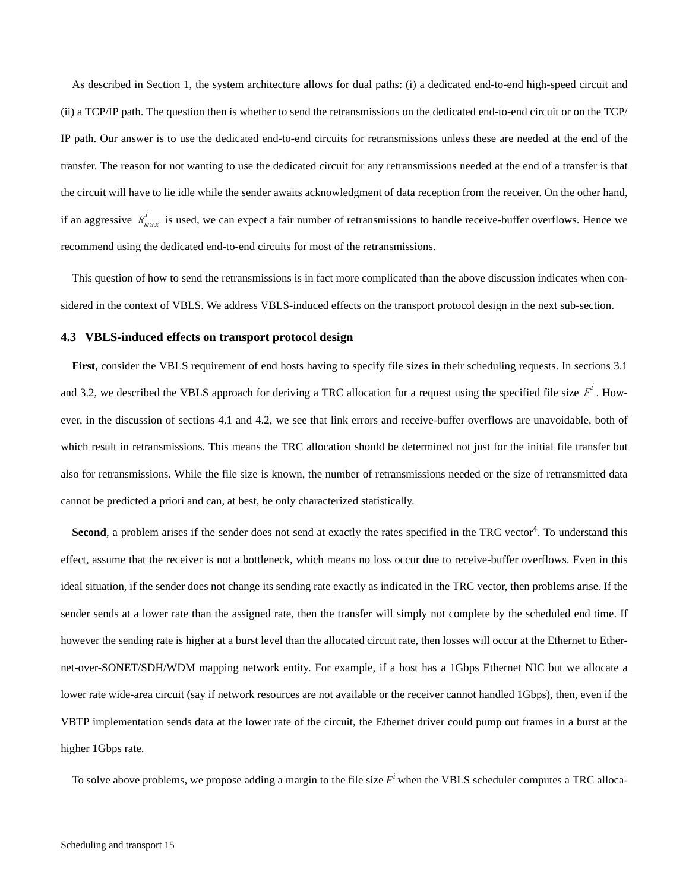As described in Section 1, the system architecture allows for dual paths: (i) a dedicated end-to-end high-speed circuit and (ii) a TCP/IP path. The question then is whether to send the retransmissions on the dedicated end-to-end circuit or on the TCP/ IP path. Our answer is to use the dedicated end-to-end circuits for retransmissions unless these are needed at the end of the transfer. The reason for not wanting to use the dedicated circuit for any retransmissions needed at the end of a transfer is that the circuit will have to lie idle while the sender awaits acknowledgment of data reception from the receiver. On the other hand, if an aggressive  $R_{max}^{t}$  is used, we can expect a fair number of retransmissions to handle receive-buffer overflows. Hence we recommend using the dedicated end-to-end circuits for most of the retransmissions. i

This question of how to send the retransmissions is in fact more complicated than the above discussion indicates when considered in the context of VBLS. We address VBLS-induced effects on the transport protocol design in the next sub-section.

### **4.3 VBLS-induced effects on transport protocol design**

**First**, consider the VBLS requirement of end hosts having to specify file sizes in their scheduling requests. In sections 3.1 and 3.2, we described the VBLS approach for deriving a TRC allocation for a request using the specified file size  $F^i$ . However, in the discussion of sections 4.1 and 4.2, we see that link errors and receive-buffer overflows are unavoidable, both of which result in retransmissions. This means the TRC allocation should be determined not just for the initial file transfer but also for retransmissions. While the file size is known, the number of retransmissions needed or the size of retransmitted data cannot be predicted a priori and can, at best, be only characterized statistically.

**Second**, a problem arises if the sender does not send at exactly the rates specified in the TRC vector<sup>4</sup>. To understand this effect, assume that the receiver is not a bottleneck, which means no loss occur due to receive-buffer overflows. Even in this ideal situation, if the sender does not change its sending rate exactly as indicated in the TRC vector, then problems arise. If the sender sends at a lower rate than the assigned rate, then the transfer will simply not complete by the scheduled end time. If however the sending rate is higher at a burst level than the allocated circuit rate, then losses will occur at the Ethernet to Ethernet-over-SONET/SDH/WDM mapping network entity. For example, if a host has a 1Gbps Ethernet NIC but we allocate a lower rate wide-area circuit (say if network resources are not available or the receiver cannot handled 1Gbps), then, even if the VBTP implementation sends data at the lower rate of the circuit, the Ethernet driver could pump out frames in a burst at the higher 1Gbps rate.

To solve above problems, we propose adding a margin to the file size  $F<sup>i</sup>$  when the VBLS scheduler computes a TRC alloca-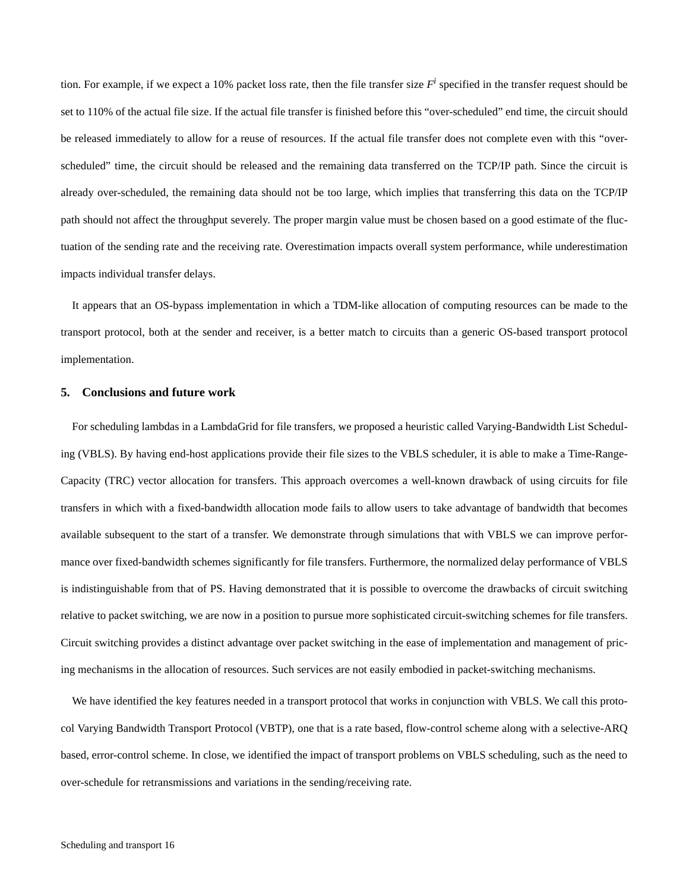tion. For example, if we expect a 10% packet loss rate, then the file transfer size *Fi* specified in the transfer request should be set to 110% of the actual file size. If the actual file transfer is finished before this "over-scheduled" end time, the circuit should be released immediately to allow for a reuse of resources. If the actual file transfer does not complete even with this "overscheduled" time, the circuit should be released and the remaining data transferred on the TCP/IP path. Since the circuit is already over-scheduled, the remaining data should not be too large, which implies that transferring this data on the TCP/IP path should not affect the throughput severely. The proper margin value must be chosen based on a good estimate of the fluctuation of the sending rate and the receiving rate. Overestimation impacts overall system performance, while underestimation impacts individual transfer delays.

It appears that an OS-bypass implementation in which a TDM-like allocation of computing resources can be made to the transport protocol, both at the sender and receiver, is a better match to circuits than a generic OS-based transport protocol implementation.

# **5. Conclusions and future work**

For scheduling lambdas in a LambdaGrid for file transfers, we proposed a heuristic called Varying-Bandwidth List Scheduling (VBLS). By having end-host applications provide their file sizes to the VBLS scheduler, it is able to make a Time-Range-Capacity (TRC) vector allocation for transfers. This approach overcomes a well-known drawback of using circuits for file transfers in which with a fixed-bandwidth allocation mode fails to allow users to take advantage of bandwidth that becomes available subsequent to the start of a transfer. We demonstrate through simulations that with VBLS we can improve performance over fixed-bandwidth schemes significantly for file transfers. Furthermore, the normalized delay performance of VBLS is indistinguishable from that of PS. Having demonstrated that it is possible to overcome the drawbacks of circuit switching relative to packet switching, we are now in a position to pursue more sophisticated circuit-switching schemes for file transfers. Circuit switching provides a distinct advantage over packet switching in the ease of implementation and management of pricing mechanisms in the allocation of resources. Such services are not easily embodied in packet-switching mechanisms.

We have identified the key features needed in a transport protocol that works in conjunction with VBLS. We call this protocol Varying Bandwidth Transport Protocol (VBTP), one that is a rate based, flow-control scheme along with a selective-ARQ based, error-control scheme. In close, we identified the impact of transport problems on VBLS scheduling, such as the need to over-schedule for retransmissions and variations in the sending/receiving rate.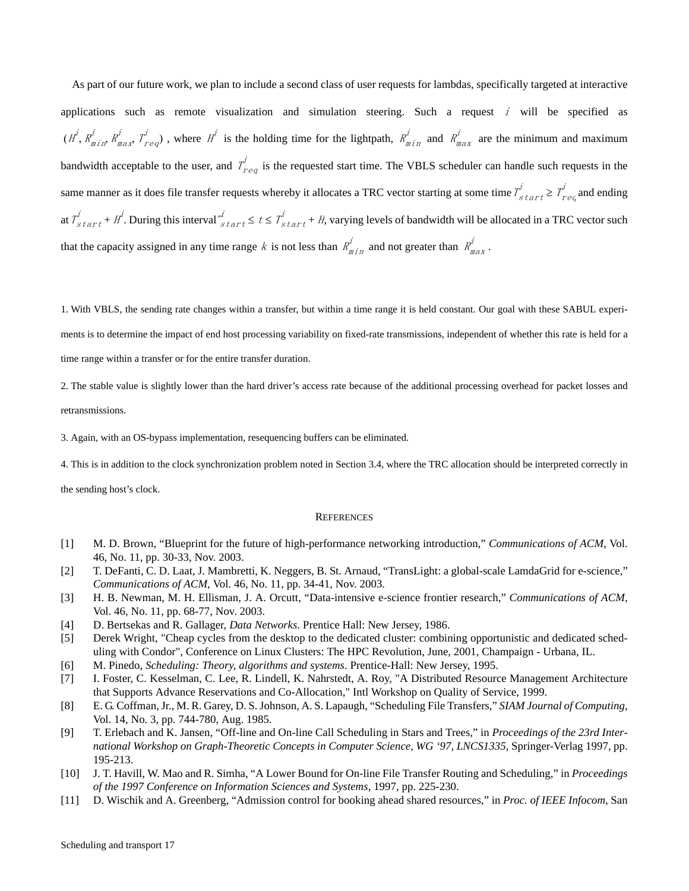As part of our future work, we plan to include a second class of user requests for lambdas, specifically targeted at interactive applications such as remote visualization and simulation steering. Such a request  $i$  will be specified as  $H^i$ ,  $R_{m i p}^i$ ,  $R_{m a x}^j$ ,  $T_{r e q}^i$ ), where  $H^i$  is the holding time for the lightpath,  $R_{m i n}^i$  and  $R_{m a x}^i$  are the minimum and maximum bandwidth acceptable to the user, and  $T_{req}$  is the requested start time. The VBLS scheduler can handle such requests in the same manner as it does file transfer requests whereby it allocates a TRC vector starting at some time  $T'_{start} \geq T'_{ref}$  and ending at  $T'_{start} + H'$ . During this interval  $\frac{r}{start} \le t \le T'_{start} + H$ , varying levels of bandwidth will be allocated in a TRC vector such that the capacity assigned in any time range k is not less than  $R_{min}^j$  and not greater than  $R_{max}^j$ . i<br>min R<sup>i</sup>max  $\frac{d}{d}$   $\frac{d}{d}$   $\frac{d}{d}$   $\frac{d}{d}$  $(H^i, R^i_{mim}, R^i_{max}, T^i_{req})$ , where  $H^i$  is the holding time for the lightpath,  $R^i_{min}$  $\sum_{m \, i \, n}^{j}$  and  $R_{max}^{i}$ i i  $\frac{1}{start} \geq T_{req}^{i}$  $\geq T_r^i$  $\frac{d}{dt}$   $\frac{d}{dt}$   $\frac{d}{dt}$   $\frac{d}{dt}$   $\frac{d}{dt}$   $\frac{d}{dt}$   $\frac{d}{dt}$   $\frac{d}{dt}$   $\frac{d}{dt}$  $\frac{1}{start} \leq t \leq T_{start}^i$  $\leq t \leq T_{start}^i + H$ i

1. With VBLS, the sending rate changes within a transfer, but within a time range it is held constant. Our goal with these SABUL experiments is to determine the impact of end host processing variability on fixed-rate transmissions, independent of whether this rate is held for a time range within a transfer or for the entire transfer duration.

2. The stable value is slightly lower than the hard driver's access rate because of the additional processing overhead for packet losses and retransmissions.

3. Again, with an OS-bypass implementation, resequencing buffers can be eliminated.

4. This is in addition to the clock synchronization problem noted in Section 3.4, where the TRC allocation should be interpreted correctly in

the sending host's clock.

#### **REFERENCES**

- [1] M. D. Brown, "Blueprint for the future of high-performance networking introduction," *Communications of ACM*, Vol. 46, No. 11, pp. 30-33, Nov. 2003.
- [2] T. DeFanti, C. D. Laat, J. Mambretti, K. Neggers, B. St. Arnaud, "TransLight: a global-scale LamdaGrid for e-science," *Communications of ACM*, Vol. 46, No. 11, pp. 34-41, Nov. 2003.
- [3] H. B. Newman, M. H. Ellisman, J. A. Orcutt, "Data-intensive e-science frontier research," *Communications of ACM*, Vol. 46, No. 11, pp. 68-77, Nov. 2003.
- [4] D. Bertsekas and R. Gallager, *Data Networks*. Prentice Hall: New Jersey, 1986.
- [5] Derek Wright, "Cheap cycles from the desktop to the dedicated cluster: combining opportunistic and dedicated scheduling with Condor", Conference on Linux Clusters: The HPC Revolution, June, 2001, Champaign - Urbana, IL.
- [6] M. Pinedo, *Scheduling: Theory, algorithms and systems*. Prentice-Hall: New Jersey, 1995.
- [7] I. Foster, C. Kesselman, C. Lee, R. Lindell, K. Nahrstedt, A. Roy, "A Distributed Resource Management Architecture that Supports Advance Reservations and Co-Allocation," Intl Workshop on Quality of Service, 1999.
- [8] E. G. Coffman, Jr., M. R. Garey, D. S. Johnson, A. S. Lapaugh, "Scheduling File Transfers," *SIAM Journal of Computing*, Vol. 14, No. 3, pp. 744-780, Aug. 1985.
- [9] T. Erlebach and K. Jansen, "Off-line and On-line Call Scheduling in Stars and Trees," in *Proceedings of the 23rd International Workshop on Graph-Theoretic Concepts in Computer Science, WG '97, LNCS1335*, Springer-Verlag 1997, pp. 195-213.
- [10] J. T. Havill, W. Mao and R. Simha, "A Lower Bound for On-line File Transfer Routing and Scheduling," in *Proceedings of the 1997 Conference on Information Sciences and Systems*, 1997, pp. 225-230.
- [11] D. Wischik and A. Greenberg, "Admission control for booking ahead shared resources," in *Proc. of IEEE Infocom*, San